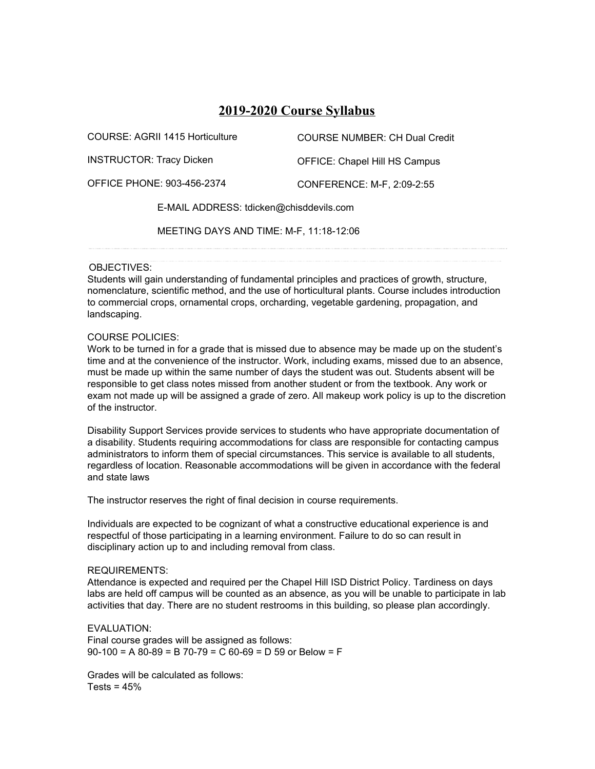# **2019-2020 Course Syllabus**

| COURSE: AGRII 1415 Horticulture         | <b>COURSE NUMBER: CH Dual Credit</b> |
|-----------------------------------------|--------------------------------------|
| <b>INSTRUCTOR: Tracy Dicken</b>         | OFFICE: Chapel Hill HS Campus        |
| <b>OFFICE PHONE: 903-456-2374</b>       | CONFERENCE: M-F, 2:09-2:55           |
| E-MAIL ADDRESS: tdicken@chisddevils.com |                                      |
| MEETING DAYS AND TIME: M-F, 11:18-12:06 |                                      |

## OBJECTIVES:

Students will gain understanding of fundamental principles and practices of growth, structure, nomenclature, scientific method, and the use of horticultural plants. Course includes introduction to commercial crops, ornamental crops, orcharding, vegetable gardening, propagation, and landscaping.

## COURSE POLICIES:

Work to be turned in for a grade that is missed due to absence may be made up on the student's time and at the convenience of the instructor. Work, including exams, missed due to an absence, must be made up within the same number of days the student was out. Students absent will be responsible to get class notes missed from another student or from the textbook. Any work or exam not made up will be assigned a grade of zero. All makeup work policy is up to the discretion of the instructor.

Disability Support Services provide services to students who have appropriate documentation of a disability. Students requiring accommodations for class are responsible for contacting campus administrators to inform them of special circumstances. This service is available to all students, regardless of location. Reasonable accommodations will be given in accordance with the federal and state laws

The instructor reserves the right of final decision in course requirements.

Individuals are expected to be cognizant of what a constructive educational experience is and respectful of those participating in a learning environment. Failure to do so can result in disciplinary action up to and including removal from class.

#### REQUIREMENTS:

Attendance is expected and required per the Chapel Hill ISD District Policy. Tardiness on days labs are held off campus will be counted as an absence, as you will be unable to participate in lab activities that day. There are no student restrooms in this building, so please plan accordingly.

EVALUATION:

Final course grades will be assigned as follows:  $90-100 = A 80-89 = B 70-79 = C 60-69 = D 59$  or Below = F

Grades will be calculated as follows:  $Tests = 45%$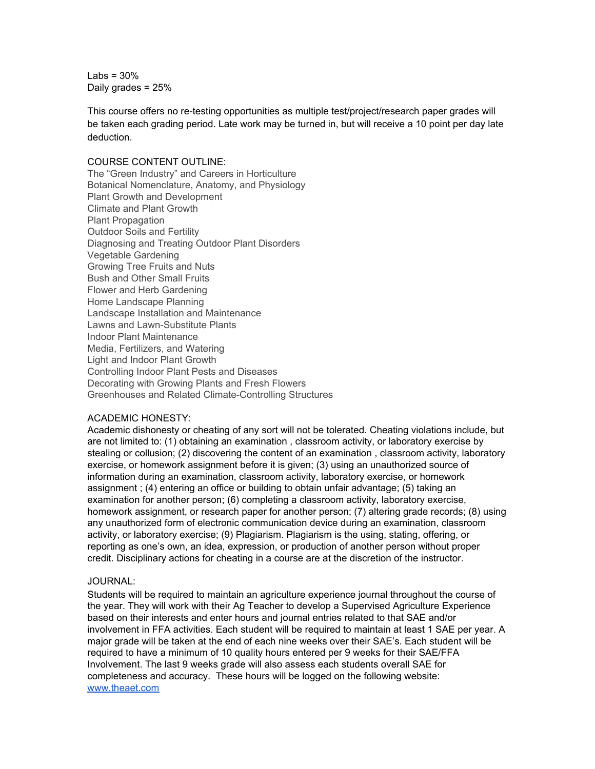Labs =  $30%$ Daily grades = 25%

This course offers no re-testing opportunities as multiple test/project/research paper grades will be taken each grading period. Late work may be turned in, but will receive a 10 point per day late deduction.

### COURSE CONTENT OUTLINE:

The "Green Industry" and Careers in Horticulture Botanical Nomenclature, Anatomy, and Physiology Plant Growth and Development Climate and Plant Growth Plant Propagation Outdoor Soils and Fertility Diagnosing and Treating Outdoor Plant Disorders Vegetable Gardening Growing Tree Fruits and Nuts Bush and Other Small Fruits Flower and Herb Gardening Home Landscape Planning Landscape Installation and Maintenance Lawns and Lawn-Substitute Plants Indoor Plant Maintenance Media, Fertilizers, and Watering Light and Indoor Plant Growth Controlling Indoor Plant Pests and Diseases Decorating with Growing Plants and Fresh Flowers Greenhouses and Related Climate-Controlling Structures

## ACADEMIC HONESTY:

Academic dishonesty or cheating of any sort will not be tolerated. Cheating violations include, but are not limited to: (1) obtaining an examination , classroom activity, or laboratory exercise by stealing or collusion; (2) discovering the content of an examination , classroom activity, laboratory exercise, or homework assignment before it is given; (3) using an unauthorized source of information during an examination, classroom activity, laboratory exercise, or homework assignment ; (4) entering an office or building to obtain unfair advantage; (5) taking an examination for another person; (6) completing a classroom activity, laboratory exercise, homework assignment, or research paper for another person; (7) altering grade records; (8) using any unauthorized form of electronic communication device during an examination, classroom activity, or laboratory exercise; (9) Plagiarism. Plagiarism is the using, stating, offering, or reporting as one's own, an idea, expression, or production of another person without proper credit. Disciplinary actions for cheating in a course are at the discretion of the instructor.

## JOURNAL:

Students will be required to maintain an agriculture experience journal throughout the course of the year. They will work with their Ag Teacher to develop a Supervised Agriculture Experience based on their interests and enter hours and journal entries related to that SAE and/or involvement in FFA activities. Each student will be required to maintain at least 1 SAE per year. A major grade will be taken at the end of each nine weeks over their SAE's. Each student will be required to have a minimum of 10 quality hours entered per 9 weeks for their SAE/FFA Involvement. The last 9 weeks grade will also assess each students overall SAE for completeness and accuracy. These hours will be logged on the following website: [www.theaet.com](http://www.theaet.com/)